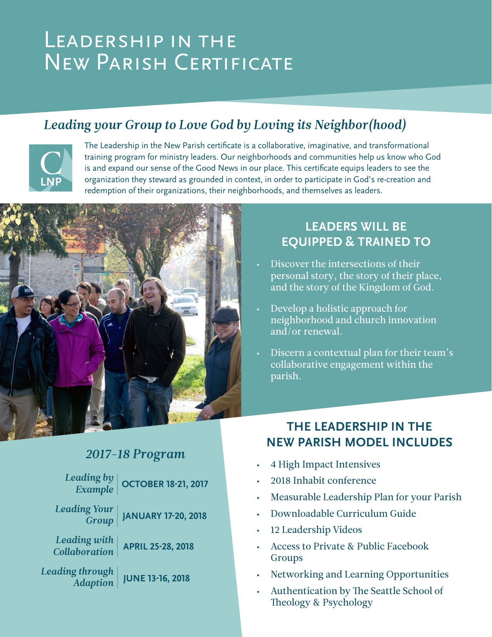# LEADERSHIP IN THE New Parish Certificate

# *Leading your Group to Love God by Loving its Neighbor(hood)*



The Leadership in the New Parish certificate is a collaborative, imaginative, and transformational training program for ministry leaders. Our neighborhoods and communities help us know who God is and expand our sense of the Good News in our place. This certificate equips leaders to see the organization they steward as grounded in context, in order to participate in God's re-creation and redemption of their organizations, their neighborhoods, and themselves as leaders.



#### **LEADERS WILL BE EQUIPPED & TRAINED TO**

- Discover the intersections of their personal story, the story of their place, and the story of the Kingdom of God.
- Develop a holistic approach for neighborhood and church innovation and/or renewal.
- Discern a contextual plan for their team's collaborative engagement within the parish.

### *2017-18 Program*

*Leading by Example*  **OCTOBER 18-21, 2017** 

*Leading Your*  **JANUARY 17-20, 2018** 

*Group Leading with* 

*Collaboration* 

**APRIL 25-28, 2018** 

*Leading through Adaption*

**JUNE 13-16, 2018**

#### **THE LEADERSHIP IN THE NEW PARISH MODEL INCLUDES**

- 4 High Impact Intensives
- 2018 Inhabit conference
- Measurable Leadership Plan for your Parish
- Downloadable Curriculum Guide
- 12 Leadership Videos
- Access to Private & Public Facebook Groups
- Networking and Learning Opportunities
- Authentication by The Seattle School of Theology & Psychology